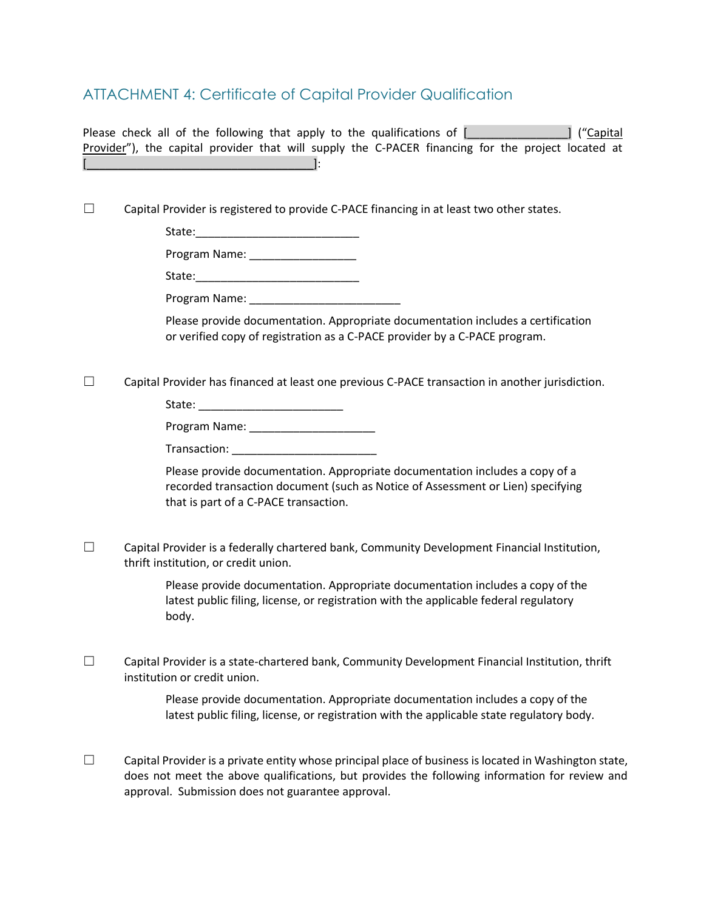## ATTACHMENT 4: Certificate of Capital Provider Qualification

Please check all of the following that apply to the qualifications of [\_\_\_\_\_\_\_\_\_\_\_\_\_\_] ("Capital Provider"), the capital provider that will supply the C-PACER financing for the project located at  $\qquad \qquad \blacksquare$ 

 $\Box$  Capital Provider is registered to provide C-PACE financing in at least two other states.

State:\_\_\_\_\_\_\_\_\_\_\_\_\_\_\_\_\_\_\_\_\_\_\_\_\_\_

| Program Name: |  |
|---------------|--|
|---------------|--|

State:\_\_\_\_\_\_\_\_\_\_\_\_\_\_\_\_\_\_\_\_\_\_\_\_\_\_

Program Name: \_\_\_\_\_\_\_\_\_\_\_\_\_\_\_\_\_\_\_\_\_\_\_\_

Please provide documentation. Appropriate documentation includes a certification or verified copy of registration as a C-PACE provider by a C-PACE program.

☐ Capital Provider has financed at least one previous C-PACE transaction in another jurisdiction.

State: \_\_\_\_\_\_\_\_\_\_\_\_\_\_\_\_\_\_\_\_\_\_\_

Program Name: \_\_\_\_\_\_\_\_\_\_\_\_\_\_\_\_\_\_\_\_

Transaction: \_\_\_\_\_\_\_\_\_\_\_\_\_\_\_\_\_\_\_\_\_\_\_

Please provide documentation. Appropriate documentation includes a copy of a recorded transaction document (such as Notice of Assessment or Lien) specifying that is part of a C-PACE transaction.

☐ Capital Provider is a federally chartered bank, Community Development Financial Institution, thrift institution, or credit union.

> Please provide documentation. Appropriate documentation includes a copy of the latest public filing, license, or registration with the applicable federal regulatory body.

 $\Box$  Capital Provider is a state-chartered bank, Community Development Financial Institution, thrift institution or credit union.

> Please provide documentation. Appropriate documentation includes a copy of the latest public filing, license, or registration with the applicable state regulatory body.

 $\Box$  Capital Provider is a private entity whose principal place of business is located in Washington state, does not meet the above qualifications, but provides the following information for review and approval. Submission does not guarantee approval.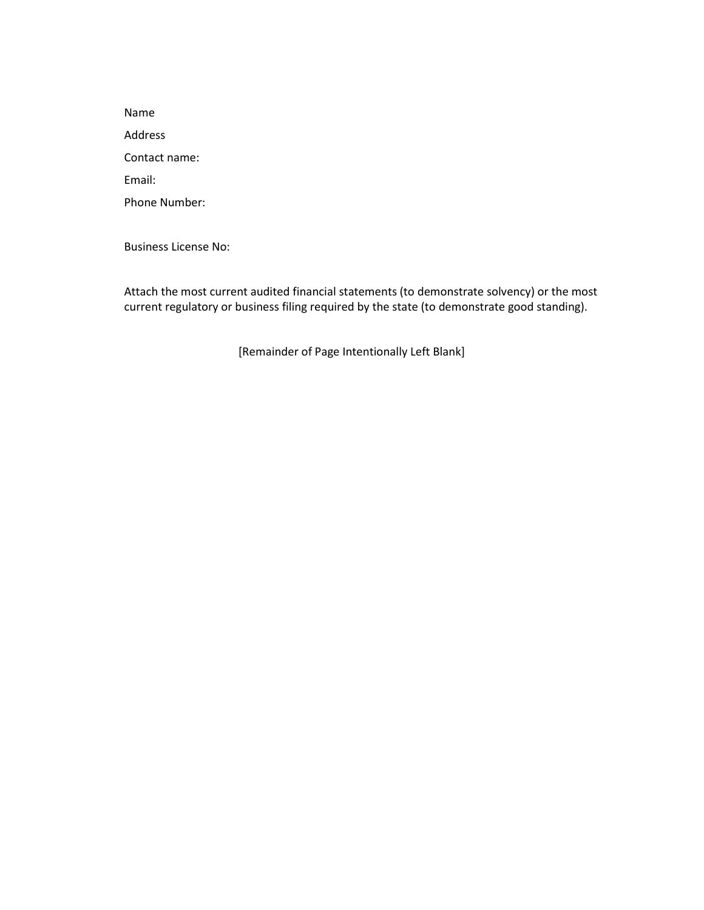Name Address Contact name: Email: Phone Number:

Business License No:

Attach the most current audited financial statements (to demonstrate solvency) or the most current regulatory or business filing required by the state (to demonstrate good standing).

[Remainder of Page Intentionally Left Blank]